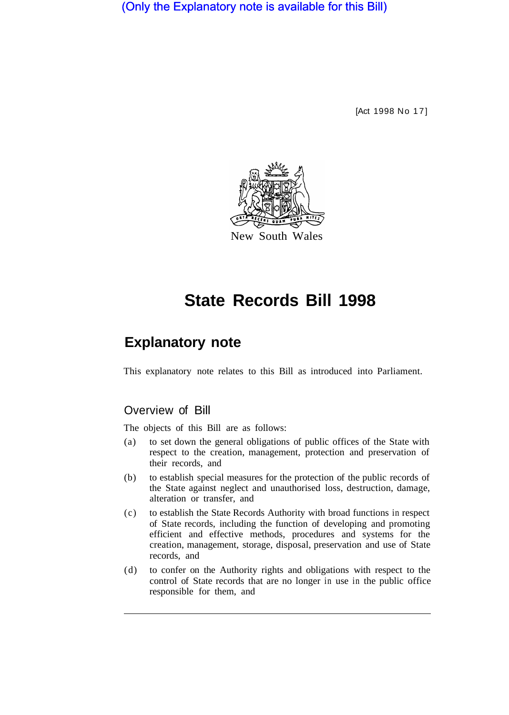(Only the Explanatory note is available for this Bill)

[Act 1998 No 17]



# **State Records Bill 1998**

# **Explanatory note**

This explanatory note relates to this Bill as introduced into Parliament.

### Overview of Bill

The objects of this Bill are as follows:

- (a) to set down the general obligations of public offices of the State with respect to the creation, management, protection and preservation of their records, and
- (b) to establish special measures for the protection of the public records of the State against neglect and unauthorised loss, destruction, damage, alteration or transfer, and
- (c) to establish the State Records Authority with broad functions in respect of State records, including the function of developing and promoting efficient and effective methods, procedures and systems for the creation, management, storage, disposal, preservation and use of State records, and
- (d) to confer on the Authority rights and obligations with respect to the control of State records that are no longer in use in the public office responsible for them, and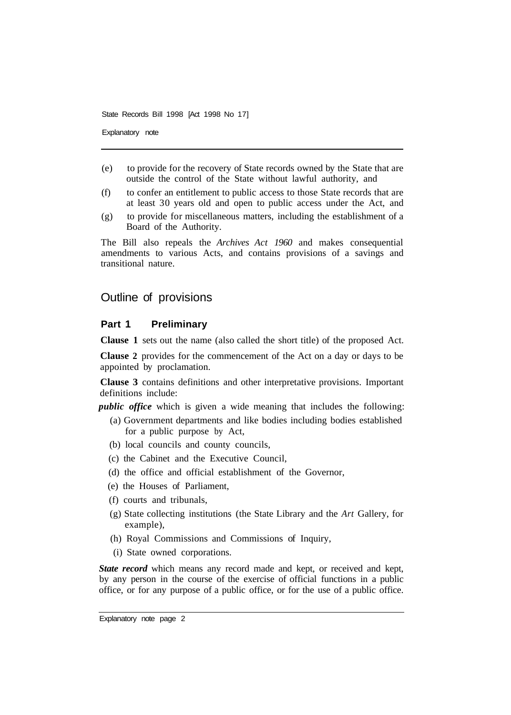Explanatory note

- (e) to provide for the recovery of State records owned by the State that are outside the control of the State without lawful authority, and
- (f) to confer an entitlement to public access to those State records that are at least 30 years old and open to public access under the Act, and
- (g) to provide for miscellaneous matters, including the establishment of a Board of the Authority.

The Bill also repeals the *Archives Act 1960* and makes consequential amendments to various Acts, and contains provisions of a savings and transitional nature.

#### Outline of provisions

#### **Part 1 Preliminary**

**Clause 1** sets out the name (also called the short title) of the proposed Act.

**Clause 2** provides for the commencement of the Act on a day or days to be appointed by proclamation.

**Clause 3** contains definitions and other interpretative provisions. Important definitions include:

*public office* which is given a wide meaning that includes the following:

- (a) Government departments and like bodies including bodies established for a public purpose by Act,
- (b) local councils and county councils,
- (c) the Cabinet and the Executive Council,
- (d) the office and official establishment of the Governor,
- (e) the Houses of Parliament,
- (f) courts and tribunals,
- (g) State collecting institutions (the State Library and the *Art* Gallery, for example),
- (h) Royal Commissions and Commissions of Inquiry,
- (i) State owned corporations.

*State record* which means any record made and kept, or received and kept, by any person in the course of the exercise of official functions in a public office, or for any purpose of a public office, or for the use of a public office.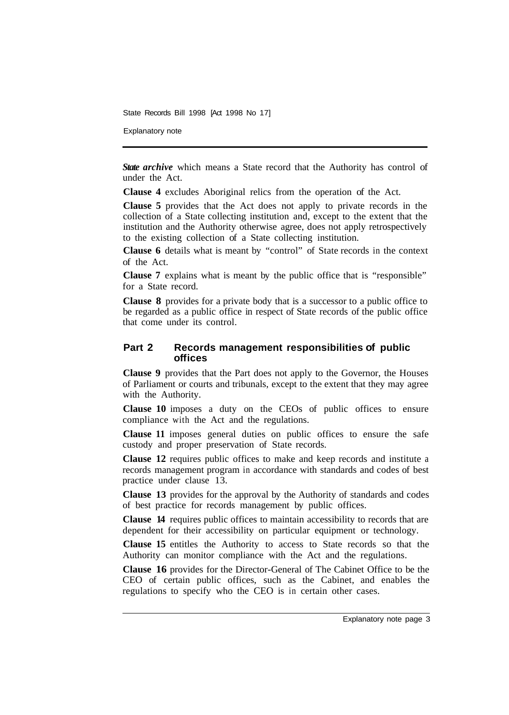Explanatory note

**State archive** which means a State record that the Authority has control of under the Act.

**Clause 4** excludes Aboriginal relics from the operation of the Act.

**Clause 5** provides that the Act does not apply to private records in the collection of a State collecting institution and, except to the extent that the institution and the Authority otherwise agree, does not apply retrospectively to the existing collection of a State collecting institution.

**Clause 6** details what is meant by "control" of State records in the context of the Act.

**Clause 7** explains what is meant by the public office that is "responsible" for a State record.

**Clause 8** provides for a private body that is a successor to a public office to be regarded as a public office in respect of State records of the public office that come under its control.

#### **Part 2 Records management responsibilities of public off ices**

**Clause 9** provides that the Part does not apply to the Governor, the Houses of Parliament or courts and tribunals, except to the extent that they may agree with the Authority.

**Clause 10** imposes a duty on the CEOs of public offices to ensure compliance with the Act and the regulations.

**Clause 11** imposes general duties on public offices to ensure the safe custody and proper preservation of State records.

**Clause 12** requires public offices to make and keep records and institute a records management program in accordance with standards and codes of best practice under clause 13.

**Clause 13** provides for the approval by the Authority of standards and codes of best practice for records management by public offices.

**Clause 14** requires public offices to maintain accessibility to records that are dependent for their accessibility on particular equipment or technology.

**Clause 15** entitles the Authority to access to State records so that the Authority can monitor compliance with the Act and the regulations.

**Clause 16** provides for the Director-General of The Cabinet Office to be the CEO of certain public offices, such as the Cabinet, and enables the regulations to specify who the CEO is in certain other cases.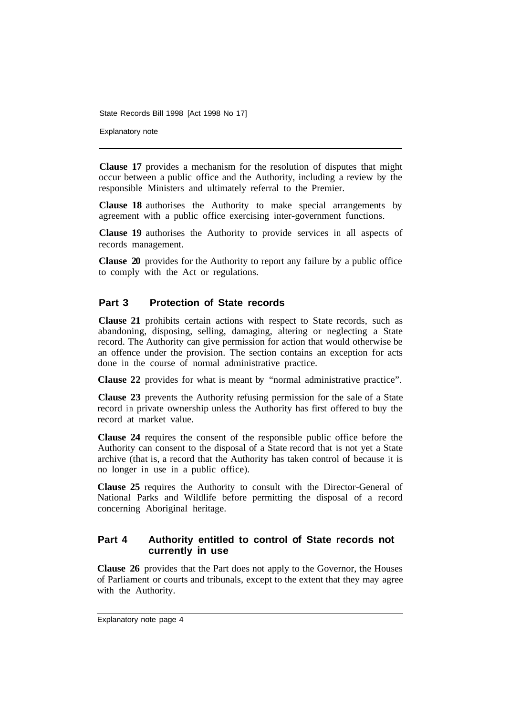Explanatory note

**Clause 17** provides a mechanism for the resolution of disputes that might occur between a public office and the Authority, including a review by the responsible Ministers and ultimately referral to the Premier.

**Clause 18** authorises the Authority to make special arrangements by agreement with a public office exercising inter-government functions.

**Clause 19** authorises the Authority to provide services in all aspects of records management.

**Clause 20** provides for the Authority to report any failure by a public office to comply with the Act or regulations.

#### **Part 3 Protection of State records**

**Clause 21** prohibits certain actions with respect to State records, such as abandoning, disposing, selling, damaging, altering or neglecting a State record. The Authority can give permission for action that would otherwise be an offence under the provision. The section contains an exception for acts done in the course of normal administrative practice.

**Clause 22** provides for what is meant by "normal administrative practice".

**Clause 23** prevents the Authority refusing permission for the sale of a State record in private ownership unless the Authority has first offered to buy the record at market value.

**Clause 24** requires the consent of the responsible public office before the Authority can consent to the disposal of a State record that is not yet a State archive (that is, a record that the Authority has taken control of because it is no longer in use in a public office).

**Clause 25** requires the Authority to consult with the Director-General of National Parks and Wildlife before permitting the disposal of a record concerning Aboriginal heritage.

#### **Part 4 Authority entitled to control of State records not currently in use**

**Clause 26** provides that the Part does not apply to the Governor, the Houses of Parliament or courts and tribunals, except to the extent that they may agree with the Authority.

Explanatory note page 4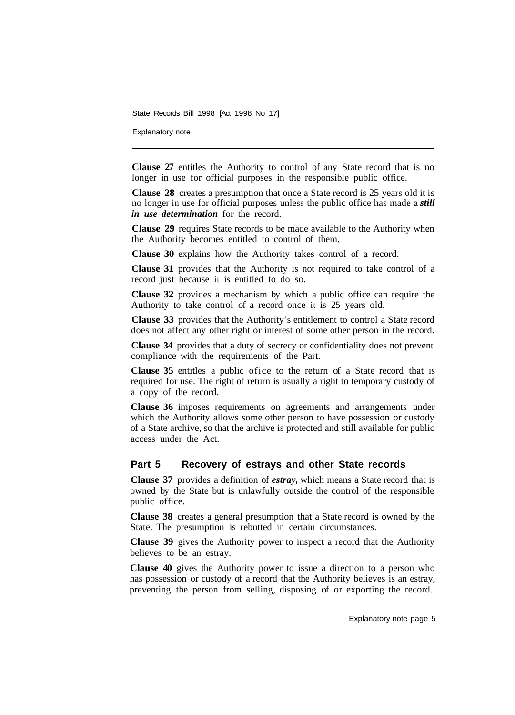Explanatory note

**Clause 27** entitles the Authority to control of any State record that is no longer in use for official purposes in the responsible public office.

**Clause 28** creates a presumption that once a State record is 25 years old it is no longer in use for official purposes unless the public office has made a *still in use determination* for the record.

**Clause 29** requires State records to be made available to the Authority when the Authority becomes entitled to control of them.

**Clause 30** explains how the Authority takes control of a record.

**Clause 31** provides that the Authority is not required to take control of a record just because it is entitled to do so.

**Clause 32** provides a mechanism by which a public office can require the Authority to take control of a record once it is 25 years old.

**Clause 33** provides that the Authority's entitlement to control a State record does not affect any other right or interest of some other person in the record.

**Clause 34** provides that a duty of secrecy or confidentiality does not prevent compliance with the requirements of the Part.

**Clause 35** entitles a public ofice to the return of a State record that is required for use. The right of return is usually a right to temporary custody of a copy of the record.

**Clause 36** imposes requirements on agreements and arrangements under which the Authority allows some other person to have possession or custody of a State archive, so that the archive is protected and still available for public access under the Act.

#### **Part 5 Recovery of estrays and other State records**

**Clause 37** provides a definition of *estray,* which means a State record that is owned by the State but is unlawfully outside the control of the responsible public office.

**Clause 38** creates a general presumption that a State record is owned by the State. The presumption is rebutted in certain circumstances.

**Clause 39** gives the Authority power to inspect a record that the Authority believes to be an estray.

**Clause 40** gives the Authority power to issue a direction to a person who has possession or custody of a record that the Authority believes is an estray, preventing the person from selling, disposing of or exporting the record.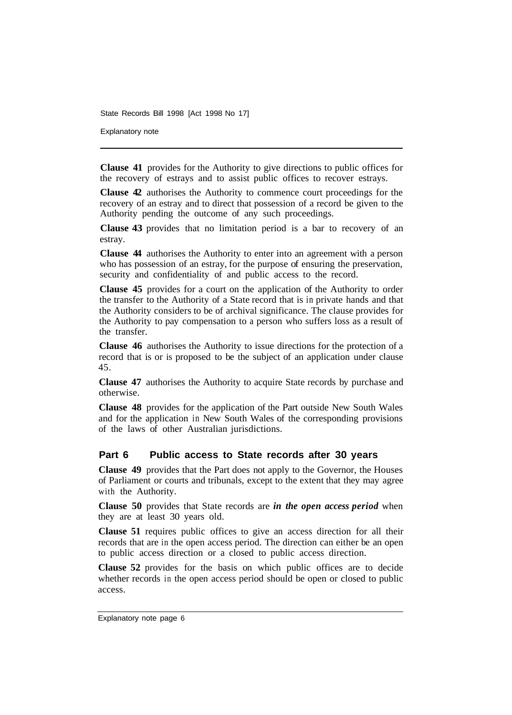Explanatory note

**Clause 41** provides for the Authority to give directions to public offices for the recovery of estrays and to assist public offices to recover estrays.

**Clause 42** authorises the Authority to commence court proceedings for the recovery of an estray and to direct that possession of a record be given to the Authority pending the outcome of any such proceedings.

**Clause 43** provides that no limitation period is a bar to recovery of an estray.

**Clause 44** authorises the Authority to enter into an agreement with a person who has possession of an estray, for the purpose of ensuring the preservation, security and confidentiality of and public access to the record.

**Clause 45** provides for a court on the application of the Authority to order the transfer to the Authority of a State record that is in private hands and that the Authority considers to be of archival significance. The clause provides for the Authority to pay compensation to a person who suffers loss as a result of the transfer.

**Clause 46** authorises the Authority to issue directions for the protection of a record that is or is proposed to be the subject of an application under clause 45.

**Clause 47** authorises the Authority to acquire State records by purchase and otherwise.

**Clause 48** provides for the application of the Part outside New South Wales and for the application in New South Wales of the corresponding provisions of the laws of other Australian jurisdictions.

#### **Part 6 Public access to State records after 30 years**

**Clause 49** provides that the Part does not apply to the Governor, the Houses of Parliament or courts and tribunals, except to the extent that they may agree with the Authority.

**Clause 50** provides that State records are *in the open access period* when they are at least 30 years old.

**Clause 51** requires public offices to give an access direction for all their records that are in the open access period. The direction can either be an open to public access direction or a closed to public access direction.

**Clause 52** provides for the basis on which public offices are to decide whether records in the open access period should be open or closed to public access.

Explanatory note page 6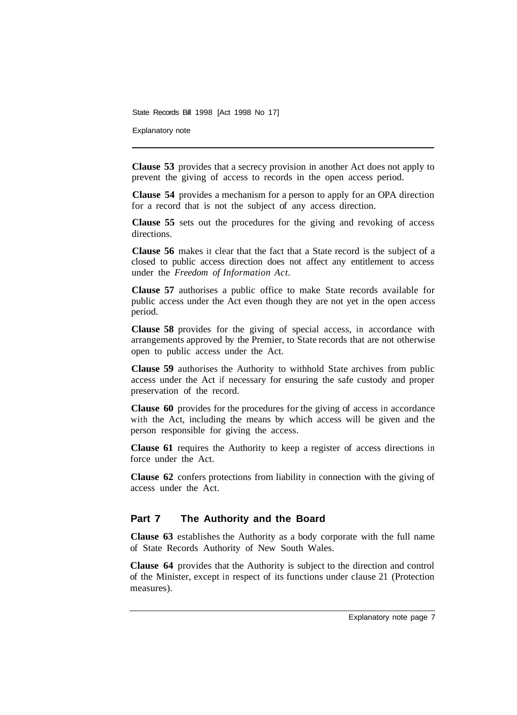Explanatory note

**Clause 53** provides that a secrecy provision in another Act does not apply to prevent the giving of access to records in the open access period.

**Clause 54** provides a mechanism for a person to apply for an OPA direction for a record that is not the subject of any access direction.

**Clause 55** sets out the procedures for the giving and revoking of access directions.

**Clause 56** makes it clear that the fact that a State record is the subject of a closed to public access direction does not affect any entitlement to access under the *Freedom of Information Act.* 

**Clause 57** authorises a public office to make State records available for public access under the Act even though they are not yet in the open access period.

**Clause 58** provides for the giving of special access, in accordance with arrangements approved by the Premier, to State records that are not otherwise open to public access under the Act.

**Clause 59** authorises the Authority to withhold State archives from public access under the Act if necessary for ensuring the safe custody and proper preservation of the record.

**Clause 60** provides for the procedures for the giving of access in accordance with the Act, including the means by which access will be given and the person responsible for giving the access.

**Clause 61** requires the Authority to keep a register of access directions in force under the Act.

**Clause 62** confers protections from liability in connection with the giving of access under the Act.

#### **Part 7 The Authority and the Board**

**Clause 63** establishes the Authority as a body corporate with the full name of State Records Authority of New South Wales.

**Clause 64** provides that the Authority is subject to the direction and control of the Minister, except in respect of its functions under clause 21 (Protection measures).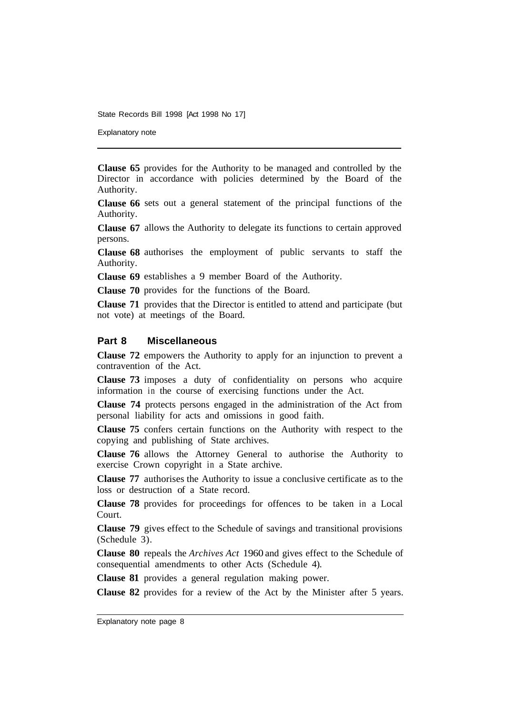Explanatory note

**Clause 65** provides for the Authority to be managed and controlled by the Director in accordance with policies determined by the Board of the Authority.

**Clause 66**  sets out a general statement of the principal functions of the Authority.

**Clause 67**  allows the Authority to delegate its functions to certain approved persons.

**Clause 68**  authorises the employment of public servants to staff the Authority.

**Clause 69**  establishes a 9 member Board of the Authority.

**Clause 70**  provides for the functions of the Board.

**Clause 71**  provides that the Director is entitled to attend and participate (but not vote) at meetings of the Board.

#### **Part 8 Miscellaneous**

**Clause 72** empowers the Authority to apply for an injunction to prevent a contravention of the Act.

**Clause 73** imposes a duty of confidentiality on persons who acquire information in the course of exercising functions under the Act.

**Clause 74** protects persons engaged in the administration of the Act from personal liability for acts and omissions in good faith.

**Clause 75** confers certain functions on the Authority with respect to the copying and publishing of State archives.

**Clause 76** allows the Attorney General to authorise the Authority to exercise Crown copyright in a State archive.

**Clause 77** authorises the Authority to issue a conclusive certificate as to the loss or destruction of a State record.

**Clause 78** provides for proceedings for offences to be taken in a Local Court.

**Clause 79** gives effect to the Schedule of savings and transitional provisions (Schedule 3).

**Clause 80** repeals the *Archives Act* 1960 and gives effect to the Schedule of consequential amendments to other Acts (Schedule 4).

**Clause 81** provides a general regulation making power.

**Clause 82** provides for a review of the Act by the Minister after 5 years.

Explanatory note page 8